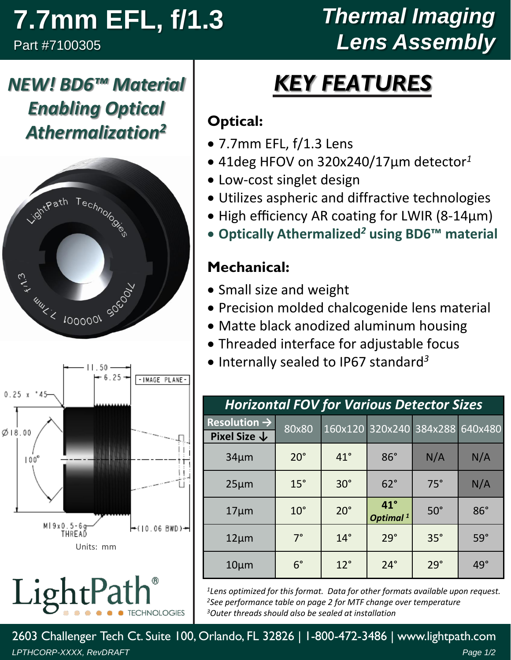# **7.7mm EFL, f/1.3**

Part #7100305

## *Thermal Imaging Lens Assembly*

## *KEY FEATURES*

#### **Optical:**

- 7.7mm EFL, f/1.3 Lens
- 41deg HFOV on 320x240/17µm detector*<sup>1</sup>*
- Low-cost singlet design
- Utilizes aspheric and diffractive technologies
- High efficiency AR coating for LWIR (8-14µm)
- **Optically Athermalized***<sup>2</sup>* **using BD6™ material**

#### **Mechanical:**

- Small size and weight
- Precision molded chalcogenide lens material
- Matte black anodized aluminum housing
- Threaded interface for adjustable focus
- Internally sealed to IP67 standard *3*

| <b>Horizontal FOV for Various Detector Sizes</b>    |              |              |                                      |            |            |  |  |  |
|-----------------------------------------------------|--------------|--------------|--------------------------------------|------------|------------|--|--|--|
| Resolution $\rightarrow$<br>Pixel Size $\downarrow$ | 80x80        |              | 160x120 320x240 384x288              |            | 640x480    |  |  |  |
| $34 \mu m$                                          | $20^{\circ}$ | $41^{\circ}$ | $86^\circ$                           | N/A        | N/A        |  |  |  |
| $25 \mu m$                                          | $15^\circ$   | $30^\circ$   | $62^\circ$                           | $75^\circ$ | N/A        |  |  |  |
| $17 \mu m$                                          | $10^{\circ}$ | $20^{\circ}$ | $41^{\circ}$<br>Optimal <sup>1</sup> | $50^\circ$ | $86^\circ$ |  |  |  |
| $12 \mu m$                                          | $7^\circ$    | $14^\circ$   | $29^\circ$                           | $35^\circ$ | $59^\circ$ |  |  |  |
| $10 \mu m$                                          | $6^{\circ}$  | $12^{\circ}$ | $24^\circ$                           | $29^\circ$ | $49^\circ$ |  |  |  |

*<sup>1</sup>Lens optimized for this format. Data for other formats available upon request. <sup>2</sup>See performance table on page 2 for MTF change over temperature <sup>3</sup>Outer threads should also be sealed at installation*

*LPTHCORP-XXXX, RevDRAFT Page 1/2* 2603 Challenger Tech Ct. Suite 100, Orlando, FL 32826 | 1-800-472-3486 | www.lightpath.com







LightPa **CHNOLOGIES**